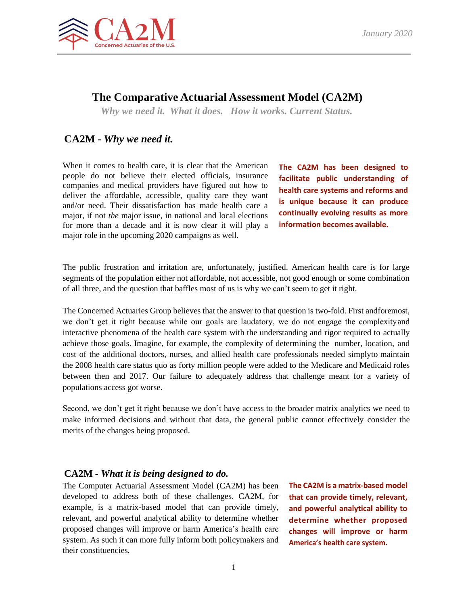

# **The Comparative Actuarial Assessment Model (CA2M)**

*Why we need it. What it does. How it works. Current Status.*

## **CA2M** *- Why we need it.*

When it comes to health care, it is clear that the American people do not believe their elected officials, insurance companies and medical providers have figured out how to deliver the affordable, accessible, quality care they want and/or need. Their dissatisfaction has made health care a major, if not *the* major issue, in national and local elections for more than a decade and it is now clear it will play a major role in the upcoming 2020 campaigns as well.

**The CA2M has been designed to facilitate public understanding of health care systems and reforms and is unique because it can produce continually evolving results as more information becomes available.**

The public frustration and irritation are, unfortunately, justified. American health care is for large segments of the population either not affordable, not accessible, not good enough or some combination of all three, and the question that baffles most of us is why we can't seem to get it right.

The Concerned Actuaries Group believes that the answer to that question is two-fold. First andforemost, we don't get it right because while our goals are laudatory, we do not engage the complexityand interactive phenomena of the health care system with the understanding and rigor required to actually achieve those goals. Imagine, for example, the complexity of determining the number, location, and cost of the additional doctors, nurses, and allied health care professionals needed simplyto maintain the 2008 health care status quo as forty million people were added to the Medicare and Medicaid roles between then and 2017. Our failure to adequately address that challenge meant for a variety of populations access got worse.

Second, we don't get it right because we don't have access to the broader matrix analytics we need to make informed decisions and without that data, the general public cannot effectively consider the merits of the changes being proposed.

#### **CA2M** *- What it is being designed to do.*

The Computer Actuarial Assessment Model (CA2M) has been developed to address both of these challenges. CA2M, for example, is a matrix-based model that can provide timely, relevant, and powerful analytical ability to determine whether proposed changes will improve or harm America's health care system. As such it can more fully inform both policymakers and their constituencies.

**The CA2M is a matrix-based model that can provide timely, relevant, and powerful analytical ability to determine whether proposed changes will improve or harm America's health care system.**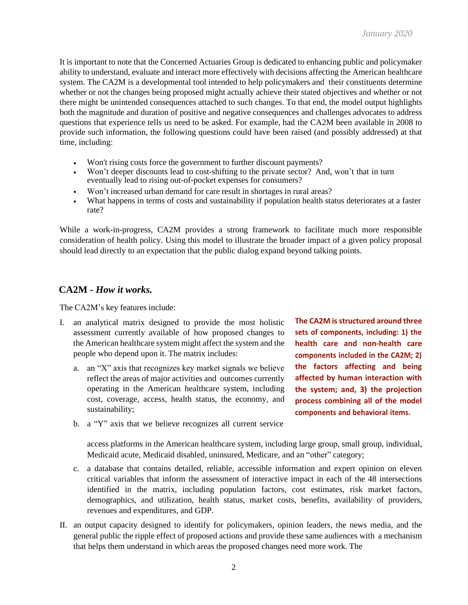It is important to note that the Concerned Actuaries Group is dedicated to enhancing public and policymaker ability to understand, evaluate and interact more effectively with decisions affecting the American healthcare system. The CA2M is a developmental tool intended to help policymakers and their constituents determine whether or not the changes being proposed might actually achieve their stated objectives and whether or not there might be unintended consequences attached to such changes. To that end, the model output highlights both the magnitude and duration of positive and negative consequences and challenges advocates to address questions that experience tells us need to be asked. For example, had the CA2M been available in 2008 to provide such information, the following questions could have been raised (and possibly addressed) at that time, including:

- Won't rising costs force the government to further discount payments?
- Won't deeper discounts lead to cost-shifting to the private sector? And, won't that in turn eventually lead to rising out-of-pocket expenses for consumers?
- Won't increased urban demand for care result in shortages in rural areas?
- What happens in terms of costs and sustainability if population health status deteriorates at a faster rate?

While a work-in-progress, CA2M provides a strong framework to facilitate much more responsible consideration of health policy. Using this model to illustrate the broader impact of a given policy proposal should lead directly to an expectation that the public dialog expand beyond talking points.

### **CA2M** *- How it works.*

The CA2M's key features include:

- I. an analytical matrix designed to provide the most holistic assessment currently available of how proposed changes to the American healthcare system might affect the system and the people who depend upon it. The matrix includes:
	- a. an "X" axis that recognizes key market signals we believe reflect the areas of major activities and outcomes currently operating in the American healthcare system, including cost, coverage, access, health status, the economy, and sustainability;

**The CA2M isstructured around three sets of components, including: 1) the health care and non-health care components included in the CA2M; 2) the factors affecting and being affected by human interaction with the system; and, 3) the projection process combining all of the model components and behavioral items.**

b. a "Y" axis that we believe recognizes all current service

access platforms in the American healthcare system, including large group, small group, individual, Medicaid acute, Medicaid disabled, uninsured, Medicare, and an "other" category;

- c. a database that contains detailed, reliable, accessible information and expert opinion on eleven critical variables that inform the assessment of interactive impact in each of the 48 intersections identified in the matrix, including population factors, cost estimates, risk market factors, demographics, and utilization, health status, market costs, benefits, availability of providers, revenues and expenditures, and GDP.
- II. an output capacity designed to identify for policymakers, opinion leaders, the news media, and the general public the ripple effect of proposed actions and provide these same audiences with a mechanism that helps them understand in which areas the proposed changes need more work. The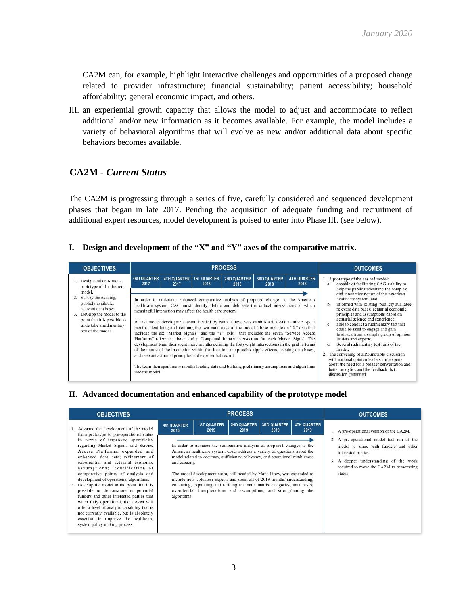CA2M can, for example, highlight interactive challenges and opportunities of a proposed change related to provider infrastructure; financial sustainability; patient accessibility; household affordability; general economic impact, and others.

III. an experiential growth capacity that allows the model to adjust and accommodate to reflect additional and/or new information as it becomes available. For example, the model includes a variety of behavioral algorithms that will evolve as new and/or additional data about specific behaviors becomes available.

## **CA2M** *- Current Status*

The CA2M is progressing through a series of five, carefully considered and sequenced development phases that began in late 2017. Pending the acquisition of adequate funding and recruitment of additional expert resources, model development is poised to enter into Phase III. (see below).

#### **I. Design and development of the "X" and "Y" axes of the comparative matrix.**

| <b>OBJECTIVES</b>                                                                                                                                                                                                                                            |                            |                                                                                                                                                       | <b>PROCESS</b>             | <b>OUTCOMES</b>                                                                                                                                                                                                                                                                                                                                                                                                                                                                                                                                                                                                                                                                                                                                                                                                                     |                            |                            |                                                                                                                                                                                                                                                                                                                                                                                                                                                                                                                                                                                                                                                                                                              |  |
|--------------------------------------------------------------------------------------------------------------------------------------------------------------------------------------------------------------------------------------------------------------|----------------------------|-------------------------------------------------------------------------------------------------------------------------------------------------------|----------------------------|-------------------------------------------------------------------------------------------------------------------------------------------------------------------------------------------------------------------------------------------------------------------------------------------------------------------------------------------------------------------------------------------------------------------------------------------------------------------------------------------------------------------------------------------------------------------------------------------------------------------------------------------------------------------------------------------------------------------------------------------------------------------------------------------------------------------------------------|----------------------------|----------------------------|--------------------------------------------------------------------------------------------------------------------------------------------------------------------------------------------------------------------------------------------------------------------------------------------------------------------------------------------------------------------------------------------------------------------------------------------------------------------------------------------------------------------------------------------------------------------------------------------------------------------------------------------------------------------------------------------------------------|--|
| Design and construct a<br>1.<br>prototype of the desired<br>model.<br>Survey the existing,<br>publicly available,<br>relevant data bases.<br>Develop the model to the<br>3.<br>point that it is possible to<br>undertake a rudimentary<br>test of the model. | <b>3RD QUARTER</b><br>2017 | <b>4TH QUARTER</b><br>2017<br>meaningful interaction may affect the health care system.<br>and relevant actuarial principles and experiential record. | <b>1ST QUARTER</b><br>2018 | <b>2ND QUARTER</b><br>2018<br>In order to undertake enhanced comparative analysis of proposed changes to the American<br>healthcare system, CAG must identify, define and delineate the critical intersections at which<br>A lead model development team, headed by Mark Litow, was established. CAG members spent<br>months identifying and defining the two main axes of the model. These include an "X" axis that<br>includes the six "Market Signals" and the "Y" axis that includes the seven "Service Access"<br>Platforms" reference above and a Compound Impact intersection for each Market Signal. The<br>development team then spent more months defining the forty-eight intersections in the grid in terms<br>of the nature of the interaction within that location, the possible ripple effects, existing data bases, | <b>3RD QUARTER</b><br>2018 | <b>4TH QUARTER</b><br>2018 | 1. A prototype of the desired model:<br>capable of facilitating CAG's ability to<br>$a$ .<br>help the public understand the complex<br>and interactive nature of the American<br>healthcare system; and,<br>informed with existing, publicly available,<br>b.<br>relevant data bases; actuarial economic<br>principles and assumptions based on<br>actuarial science and experience;<br>able to conduct a rudimentary test that<br>$\mathbb{C}$ .<br>could be used to engage and gain<br>feedback from a sample group of opinion<br>leaders and experts.<br>Several rudimentary test runs of the<br>đ.<br>model.<br>2. The convening of a Roundtable discussion<br>with national opinion leaders and experts |  |
|                                                                                                                                                                                                                                                              | into the model.            | The team then spent more months loading data and building preliminary assumptions and algorithms                                                      |                            | about the need for a broader conversation and<br>better analytics and the feedback that<br>discussion generated.                                                                                                                                                                                                                                                                                                                                                                                                                                                                                                                                                                                                                                                                                                                    |                            |                            |                                                                                                                                                                                                                                                                                                                                                                                                                                                                                                                                                                                                                                                                                                              |  |

#### **II. Advanced documentation and enhanced capability of the prototype model**

| <b>OBJECTIVES</b>                                                                                                                                                                                                                                                                                                                                                                                                                                                                                                                                                                                                                                                                                                  |                                                     |                                                                                                                                                                                                                                                                                                                                                                                                                                                                                                                                                                                | <b>OUTCOMES</b>                              |                            |                            |                                                                                                                                                                                                                                                          |
|--------------------------------------------------------------------------------------------------------------------------------------------------------------------------------------------------------------------------------------------------------------------------------------------------------------------------------------------------------------------------------------------------------------------------------------------------------------------------------------------------------------------------------------------------------------------------------------------------------------------------------------------------------------------------------------------------------------------|-----------------------------------------------------|--------------------------------------------------------------------------------------------------------------------------------------------------------------------------------------------------------------------------------------------------------------------------------------------------------------------------------------------------------------------------------------------------------------------------------------------------------------------------------------------------------------------------------------------------------------------------------|----------------------------------------------|----------------------------|----------------------------|----------------------------------------------------------------------------------------------------------------------------------------------------------------------------------------------------------------------------------------------------------|
| 1. Advance the development of the model<br>from prototype to pre-operational status<br>in terms of improved specificity<br>regarding Market Signals and Service<br>Access Platforms; expanded and<br>enhanced data sets; refinement of<br>experiential and actuarial economic<br>assumptions; identification of<br>comparative points of analysis and<br>development of operational algorithms.<br>2. Develop the model to the point that it is<br>possible to demonstrate to potential<br>funders and other interested parties that<br>when fully operational, the CA2M will<br>offer a level of analytic capability that is<br>not currently available, but is absolutely<br>essential to improve the healthcare | 4th QUARTER<br>2018<br>and capacity.<br>algorithms. | <b>1ST QUARTER</b><br>2019<br>In order to advance the comparative analysis of proposed changes to the<br>American healthcare system, CAG address a variety of questions about the<br>model related to accuracy, sufficiency, relevancy, and operational nimbleness<br>The model development team, still headed by Mark Litow, was expanded to<br>include new volunteer experts and spent all of 2019 months understanding,<br>enhancing, expanding and refining the main matrix categories; data bases;<br>experiential interpretations and assumptions; and strengthening the | <b>PROCESS</b><br><b>2ND QUARTER</b><br>2019 | <b>3RD QUARTER</b><br>2019 | <b>4TH QUARTER</b><br>2019 | 1. A pre-operational version of the CA2M.<br>2. A pre-operational model test run of the<br>model to share with funders and other<br>interested parties.<br>3. A deeper understanding of the work<br>required to move the CA2M to beta-testing<br>status. |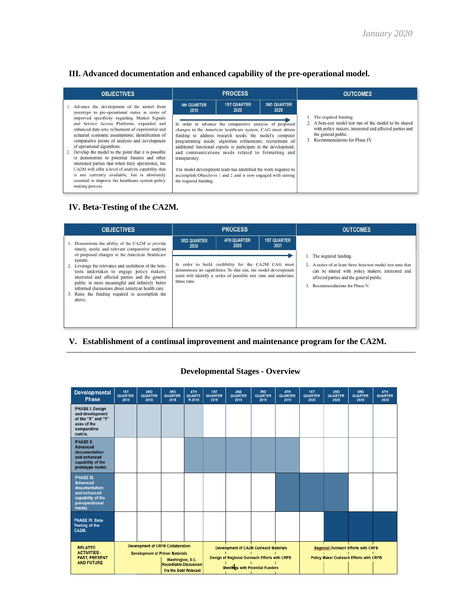### **III. Advanced documentation and enhanced capability of the pre-operational model.**

| <b>OBJECTIVES</b>                                                                                                                                                                                                                                                                                                                                                                                                                                                                                                                                                                                                                       |                                        | <b>PROCESS</b>                                                                                                                                                                                                                                                                                                                                                                                                                                                                                             |                            | <b>OUTCOMES</b>                                                                                                                                                                                     |  |  |  |  |
|-----------------------------------------------------------------------------------------------------------------------------------------------------------------------------------------------------------------------------------------------------------------------------------------------------------------------------------------------------------------------------------------------------------------------------------------------------------------------------------------------------------------------------------------------------------------------------------------------------------------------------------------|----------------------------------------|------------------------------------------------------------------------------------------------------------------------------------------------------------------------------------------------------------------------------------------------------------------------------------------------------------------------------------------------------------------------------------------------------------------------------------------------------------------------------------------------------------|----------------------------|-----------------------------------------------------------------------------------------------------------------------------------------------------------------------------------------------------|--|--|--|--|
| 1. Advance the development of the model from<br>prototype to pre-operational status in terms of                                                                                                                                                                                                                                                                                                                                                                                                                                                                                                                                         | <b>4th QUARTER</b><br>2019             | <b>1ST QUARTER</b><br>2020                                                                                                                                                                                                                                                                                                                                                                                                                                                                                 | <b>2ND QUARTER</b><br>2020 |                                                                                                                                                                                                     |  |  |  |  |
| improved specificity regarding Market Signals<br>and Service Access Platforms; expanded and<br>enhanced data sets; refinement of experiential and<br>actuarial economic assumptions; identification of<br>comparative points of analysis and development<br>of operational algorithms.<br>2. Develop the model to the point that it is possible<br>to demonstrate to potential funders and other<br>interested parties that when fully operational, the<br>CA2M will offer a level of analytic capability that<br>is not currently available, but is absolutely<br>essential to improve the healthcare system policy<br>making process. | transparency.<br>the required funding. | In order to advance the comparative analysis of proposed<br>changes to the American healthcare system, CAG must obtain<br>funding to address research needs; the model's computer<br>programming needs; algorithm refinements; recruitment of<br>additional functional experts to participate in the development;<br>and communications needs related to formatting and<br>The model development team has identified the work required to<br>accomplish Objectives 1 and 2 and is now engaged with raising |                            | The required funding.<br>A beta-test model test run of the model to be shared<br>with policy makers, interested and affected parties and<br>the general public.<br>3. Recommendations for Phase IV. |  |  |  |  |

### **IV. Beta-Testing of the CA2M.**

| <b>OBJECTIVES</b>                                                                                                                                                                                                                                                                                                                    |                            | <b>PROCESS</b>                                                                                                                                                                             |                            | <b>OUTCOMES</b>                                                                                                                                                                                 |  |  |  |
|--------------------------------------------------------------------------------------------------------------------------------------------------------------------------------------------------------------------------------------------------------------------------------------------------------------------------------------|----------------------------|--------------------------------------------------------------------------------------------------------------------------------------------------------------------------------------------|----------------------------|-------------------------------------------------------------------------------------------------------------------------------------------------------------------------------------------------|--|--|--|
| 1. Demonstrate the ability of the CA2M to provide<br>timely, useful and relevant comparative analysis<br>of proposed changes to the American Healthcare                                                                                                                                                                              | <b>3RD QUARTER</b><br>2020 | <b>4TH QUARTER</b><br>2020                                                                                                                                                                 | <b>1ST QUARTER</b><br>2021 | 1. The required funding.                                                                                                                                                                        |  |  |  |
| system.<br>2. Leverage the relevance and usefulness of the beta-<br>tests undertaken to engage policy makers;<br>interested and affected parties and the general<br>public in more meaningful and infinitely better<br>informed discussions about American health care.<br>3. Raise the funding required to accomplish the<br>above. | those runs.                | In order to build credibility for the CA2M CAG must<br>demonstrate its capabilities. To that end, the model development<br>team will identify a series of possible test runs and undertake |                            | 2. A series of at least three beta-test model test runs that<br>can be shared with policy makers, interested and<br>affected parties and the general public.<br>3. Recommendations for Phase V. |  |  |  |

### **V. Establishment of a continual improvement and maintenance program for the CA2M.**

| Developmental<br><b>Phase</b>                                                                                           | 1ST<br><b>QUARTER</b><br>2018 | 2ND<br><b>QUARTER</b><br>2018                                                                          | 3RD<br><b>QUARTER</b><br>2018                        | 4TH<br>QUARTE<br>R 2018 | 1ST<br>QUARTER<br>2019 | 2ND<br><b>QUARTER</b><br>2019                                                                       | 3RD<br>QUARTER<br>2019 | 4TH<br>QUARTER<br>2019 | 1ST<br><b>QUARTER</b><br>2020 | 2ND<br><b>QUARTER</b><br>2020                                                                                | 3RD<br>QUARTER<br>2020 | 4TH<br><b>QUARTER</b><br>2020 |  |
|-------------------------------------------------------------------------------------------------------------------------|-------------------------------|--------------------------------------------------------------------------------------------------------|------------------------------------------------------|-------------------------|------------------------|-----------------------------------------------------------------------------------------------------|------------------------|------------------------|-------------------------------|--------------------------------------------------------------------------------------------------------------|------------------------|-------------------------------|--|
| PHASE I. Design<br>and development<br>of the "X" and "Y"<br>axes of the<br>comparative<br>matrix.                       |                               |                                                                                                        |                                                      |                         |                        |                                                                                                     |                        |                        |                               |                                                                                                              |                        |                               |  |
| PHASE II.<br><b>Advanced</b><br>documentation<br>and enhanced<br>capability of the<br>prototype model.                  |                               |                                                                                                        |                                                      |                         |                        |                                                                                                     |                        |                        |                               |                                                                                                              |                        |                               |  |
| <b>PHASE III.</b><br><b>Advanced</b><br>documentation<br>and enhanced<br>capability of the<br>pre-operational<br>model. |                               |                                                                                                        |                                                      |                         |                        |                                                                                                     |                        |                        |                               |                                                                                                              |                        |                               |  |
| PHASE IV. Beta-<br><b>Testing of the</b><br>CA2M.                                                                       |                               |                                                                                                        |                                                      |                         |                        |                                                                                                     |                        |                        |                               |                                                                                                              |                        |                               |  |
| <b>RELATED</b><br><b>ACTIVITIES -</b><br><b>PAST, PRESENT</b>                                                           |                               | <b>Development of CRFB Collaboration</b><br><b>Development of Primer Materials</b><br>Washington, D.C. |                                                      |                         |                        | <b>Development of CA2M Outreach Materials</b><br>п<br>Design of Regional Outreach Efforts with CRFB |                        |                        |                               | <b>Regional Outreach Efforts with CRFB</b><br>$\mathbf{L}$<br><b>Policy Maker Outreach Efforts with CRFB</b> |                        |                               |  |
| <b>AND FUTURE</b>                                                                                                       |                               |                                                                                                        | Roundtable Discussion<br><b>Fix the Debt Webcast</b> |                         |                        | Meetings with Potential Funders                                                                     |                        |                        |                               |                                                                                                              |                        |                               |  |

### **Developmental Stages - Overview**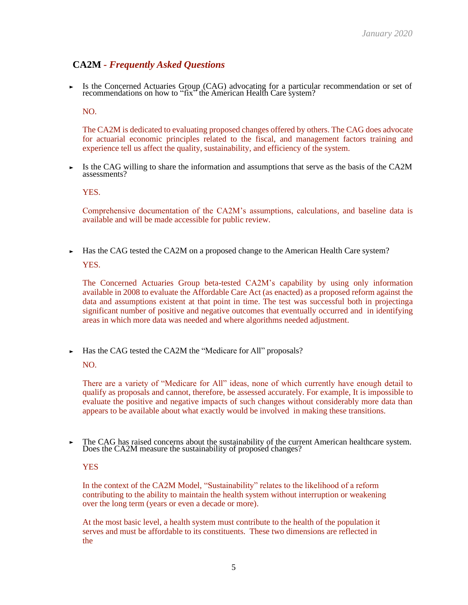## **CA2M** *- Frequently Asked Questions*

‣ Is the Concerned Actuaries Group (CAG) advocating for <sup>a</sup> particular recommendation or set of recommendations on how to "fix" the American Health Care system?

NO.

The CA2M is dedicated to evaluating proposed changes offered by others. The CAG does advocate for actuarial economic principles related to the fiscal, and management factors training and experience tell us affect the quality, sustainability, and efficiency of the system.

Is the CAG willing to share the information and assumptions that serve as the basis of the CA2M assessments?

YES.

Comprehensive documentation of the CA2M's assumptions, calculations, and baseline data is available and will be made accessible for public review.

 $\blacktriangleright$  Has the CAG tested the CA2M on a proposed change to the American Health Care system? YES.

The Concerned Actuaries Group beta-tested CA2M's capability by using only information available in 2008 to evaluate the Affordable Care Act (as enacted) as a proposed reform against the data and assumptions existent at that point in time. The test was successful both in projectinga significant number of positive and negative outcomes that eventually occurred and in identifying areas in which more data was needed and where algorithms needed adjustment.

• Has the CAG tested the CA2M the "Medicare for All" proposals?

NO.

There are a variety of "Medicare for All" ideas, none of which currently have enough detail to qualify as proposals and cannot, therefore, be assessed accurately. For example, It is impossible to evaluate the positive and negative impacts of such changes without considerably more data than appears to be available about what exactly would be involved in making these transitions.

‣ The CAG has raised concerns about the sustainability of the current American healthcare system. Does the CA2M measure the sustainability of proposed changes?

#### **YES**

In the context of the CA2M Model, "Sustainability" relates to the likelihood of a reform contributing to the ability to maintain the health system without interruption or weakening over the long term (years or even a decade or more).

At the most basic level, a health system must contribute to the health of the population it serves and must be affordable to its constituents. These two dimensions are reflected in the